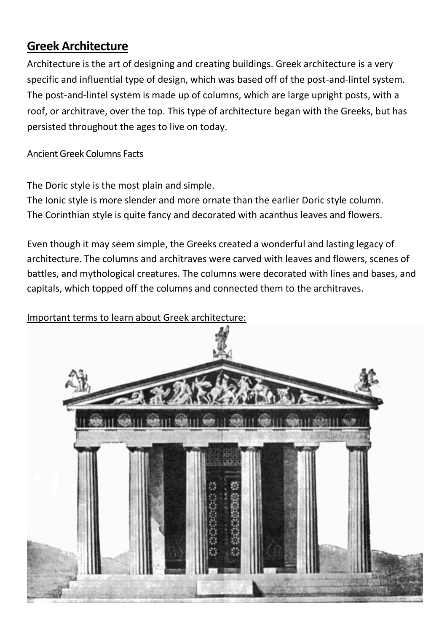## **Greek Architecture**

Architecture is the art of designing and creating buildings. Greek architecture is a very specific and influential type of design, which was based off of the post-and-lintel system. The post-and-lintel system is made up of columns, which are large upright posts, with a roof, or architrave, over the top. This type of architecture began with the Greeks, but has persisted throughout the ages to live on today.

## Ancient Greek Columns Facts

The Doric style is the most plain and simple.

The Ionic style is more slender and more ornate than the earlier Doric style column. The Corinthian style is quite fancy and decorated with acanthus leaves and flowers.

Even though it may seem simple, the Greeks created a wonderful and lasting legacy of architecture. The columns and architraves were carved with leaves and flowers, scenes of battles, and mythological creatures. The columns were decorated with lines and bases, and capitals, which topped off the columns and connected them to the architraves.

## Important terms to learn about Greek architecture:

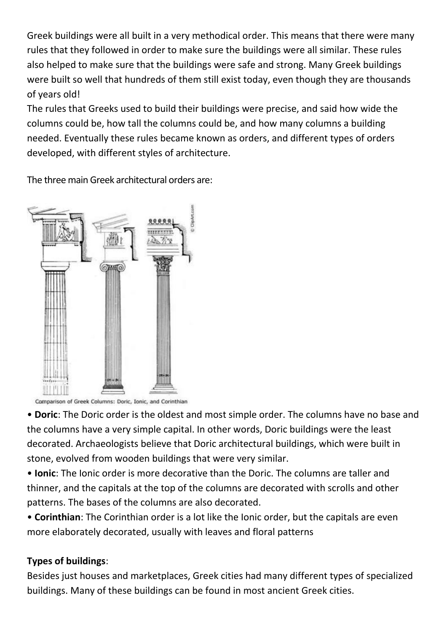Greek buildings were all built in a very methodical order. This means that there were many rules that they followed in order to make sure the buildings were all similar. These rules also helped to make sure that the buildings were safe and strong. Many Greek buildings were built so well that hundreds of them still exist today, even though they are thousands of years old!

The rules that Greeks used to build their buildings were precise, and said how wide the columns could be, how tall the columns could be, and how many columns a building needed. Eventually these rules became known as orders, and different types of orders developed, with different styles of architecture.

The three main Greek architectural orders are:



Comparison of Greek Columns: Doric, Ionic, and Corinthian

• **Doric**: The Doric order is the oldest and most simple order. The columns have no base and the columns have a very simple capital. In other words, Doric buildings were the least decorated. Archaeologists believe that Doric architectural buildings, which were built in stone, evolved from wooden buildings that were very similar.

• **Ionic**: The Ionic order is more decorative than the Doric. The columns are taller and thinner, and the capitals at the top of the columns are decorated with scrolls and other patterns. The bases of the columns are also decorated.

• **Corinthian**: The Corinthian order is a lot like the Ionic order, but the capitals are even more elaborately decorated, usually with leaves and floral patterns

## **Types of buildings**:

Besides just houses and marketplaces, Greek cities had many different types of specialized buildings. Many of these buildings can be found in most [ancient Greek](https://www.historyforkids.net/ancient-greek-gods.html) cities.